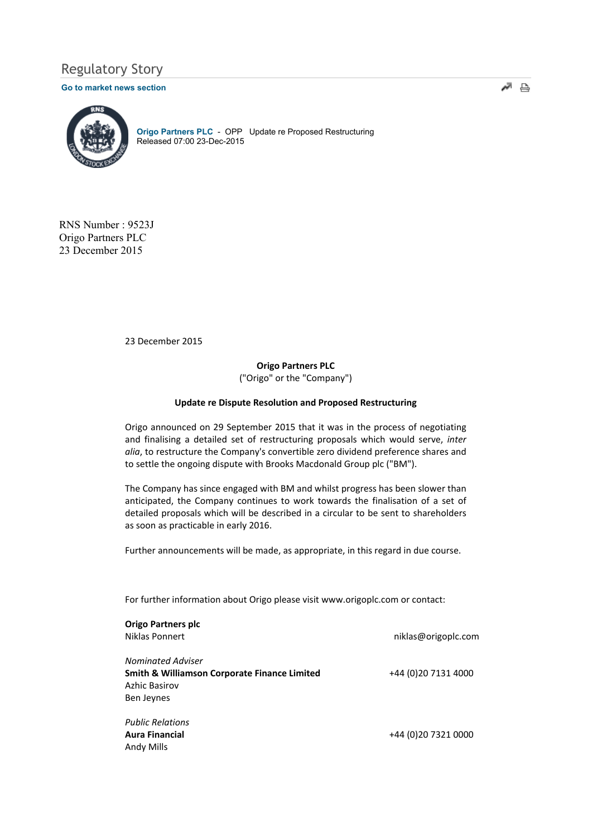# Regulatory Story

#### Go to market news section



Origo Partners PLC - OPP Update re Proposed Restructuring Released 07:00 23-Dec-2015

RNS Number : 9523J Origo Partners PLC 23 December 2015

23 December 2015

Origo Partners PLC ("Origo" or the "Company")

#### Update re Dispute Resolution and Proposed Restructuring

Origo announced on 29 September 2015 that it was in the process of negotiating and finalising a detailed set of restructuring proposals which would serve, inter alia, to restructure the Company's convertible zero dividend preference shares and to settle the ongoing dispute with Brooks Macdonald Group plc ("BM").

The Company has since engaged with BM and whilst progress has been slower than anticipated, the Company continues to work towards the finalisation of a set of detailed proposals which will be described in a circular to be sent to shareholders as soon as practicable in early 2016.

Further announcements will be made, as appropriate, in this regard in due course.

For further information about Origo please visit www.origoplc.com or contact:

| <b>Origo Partners plc</b>                               |                      |
|---------------------------------------------------------|----------------------|
| Niklas Ponnert                                          | niklas@origoplc.com  |
| <b>Nominated Adviser</b>                                |                      |
| <b>Smith &amp; Williamson Corporate Finance Limited</b> | +44 (0) 20 7131 4000 |
| <b>Azhic Basirov</b>                                    |                      |
| Ben Jeynes                                              |                      |
| <b>Public Relations</b>                                 |                      |
| <b>Aura Financial</b>                                   | +44 (0) 20 7321 0000 |
| Andy Mills                                              |                      |